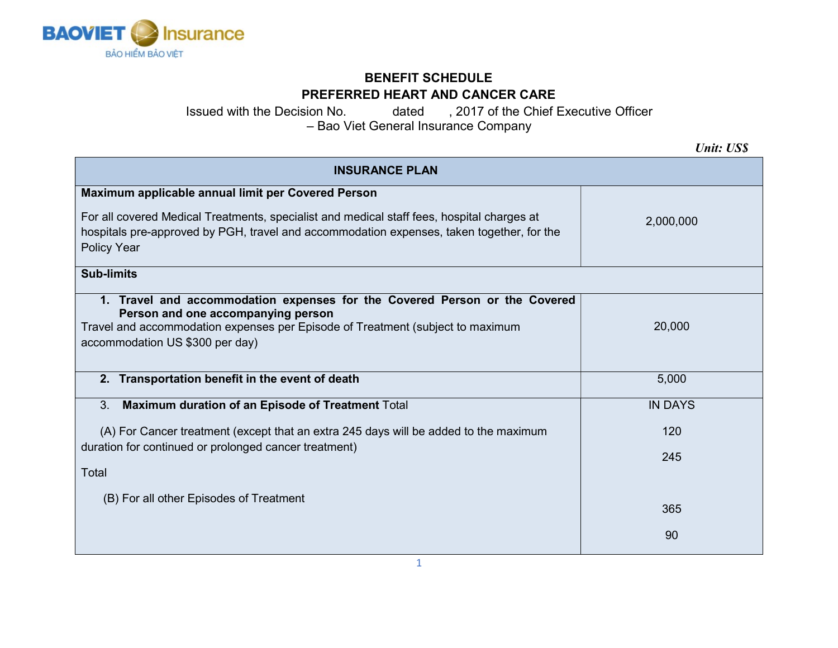

## BENEFIT SCHEDULE PREFERRED HEART AND CANCER CARE

Issued with the Decision No. dated , 2017 of the Chief Executive Officer – Bao Viet General Insurance Company

Unit: US\$

| <b>INSURANCE PLAN</b>                                                                                                                                                                                                                 |                |  |
|---------------------------------------------------------------------------------------------------------------------------------------------------------------------------------------------------------------------------------------|----------------|--|
| Maximum applicable annual limit per Covered Person                                                                                                                                                                                    |                |  |
| For all covered Medical Treatments, specialist and medical staff fees, hospital charges at<br>hospitals pre-approved by PGH, travel and accommodation expenses, taken together, for the<br>Policy Year                                | 2,000,000      |  |
| <b>Sub-limits</b>                                                                                                                                                                                                                     |                |  |
| 1. Travel and accommodation expenses for the Covered Person or the Covered<br>Person and one accompanying person<br>Travel and accommodation expenses per Episode of Treatment (subject to maximum<br>accommodation US \$300 per day) | 20,000         |  |
| 2. Transportation benefit in the event of death                                                                                                                                                                                       | 5,000          |  |
| Maximum duration of an Episode of Treatment Total<br>3.                                                                                                                                                                               | <b>IN DAYS</b> |  |
| (A) For Cancer treatment (except that an extra 245 days will be added to the maximum<br>duration for continued or prolonged cancer treatment)<br>Total                                                                                | 120            |  |
|                                                                                                                                                                                                                                       | 245            |  |
| (B) For all other Episodes of Treatment                                                                                                                                                                                               |                |  |
|                                                                                                                                                                                                                                       | 365            |  |
|                                                                                                                                                                                                                                       | 90             |  |